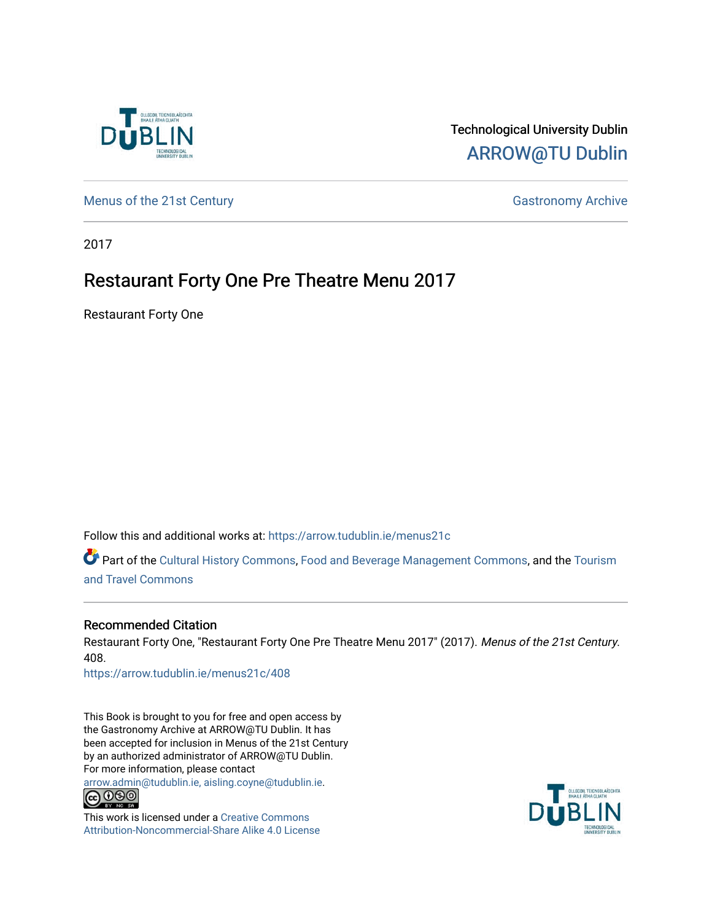

#### Technological University Dublin [ARROW@TU Dublin](https://arrow.tudublin.ie/)

[Menus of the 21st Century](https://arrow.tudublin.ie/menus21c) Gastronomy Archive

2017

### Restaurant Forty One Pre Theatre Menu 2017

Restaurant Forty One

Follow this and additional works at: [https://arrow.tudublin.ie/menus21c](https://arrow.tudublin.ie/menus21c?utm_source=arrow.tudublin.ie%2Fmenus21c%2F408&utm_medium=PDF&utm_campaign=PDFCoverPages) 

Part of the [Cultural History Commons](http://network.bepress.com/hgg/discipline/496?utm_source=arrow.tudublin.ie%2Fmenus21c%2F408&utm_medium=PDF&utm_campaign=PDFCoverPages), [Food and Beverage Management Commons,](http://network.bepress.com/hgg/discipline/1089?utm_source=arrow.tudublin.ie%2Fmenus21c%2F408&utm_medium=PDF&utm_campaign=PDFCoverPages) and the [Tourism](http://network.bepress.com/hgg/discipline/1082?utm_source=arrow.tudublin.ie%2Fmenus21c%2F408&utm_medium=PDF&utm_campaign=PDFCoverPages) [and Travel Commons](http://network.bepress.com/hgg/discipline/1082?utm_source=arrow.tudublin.ie%2Fmenus21c%2F408&utm_medium=PDF&utm_campaign=PDFCoverPages)

#### Recommended Citation

Restaurant Forty One, "Restaurant Forty One Pre Theatre Menu 2017" (2017). Menus of the 21st Century. 408.

[https://arrow.tudublin.ie/menus21c/408](https://arrow.tudublin.ie/menus21c/408?utm_source=arrow.tudublin.ie%2Fmenus21c%2F408&utm_medium=PDF&utm_campaign=PDFCoverPages) 

This Book is brought to you for free and open access by the Gastronomy Archive at ARROW@TU Dublin. It has been accepted for inclusion in Menus of the 21st Century by an authorized administrator of ARROW@TU Dublin. For more information, please contact

[arrow.admin@tudublin.ie, aisling.coyne@tudublin.ie](mailto:arrow.admin@tudublin.ie,%20aisling.coyne@tudublin.ie).<br>
co 060



This work is licensed under a [Creative Commons](http://creativecommons.org/licenses/by-nc-sa/4.0/) [Attribution-Noncommercial-Share Alike 4.0 License](http://creativecommons.org/licenses/by-nc-sa/4.0/)

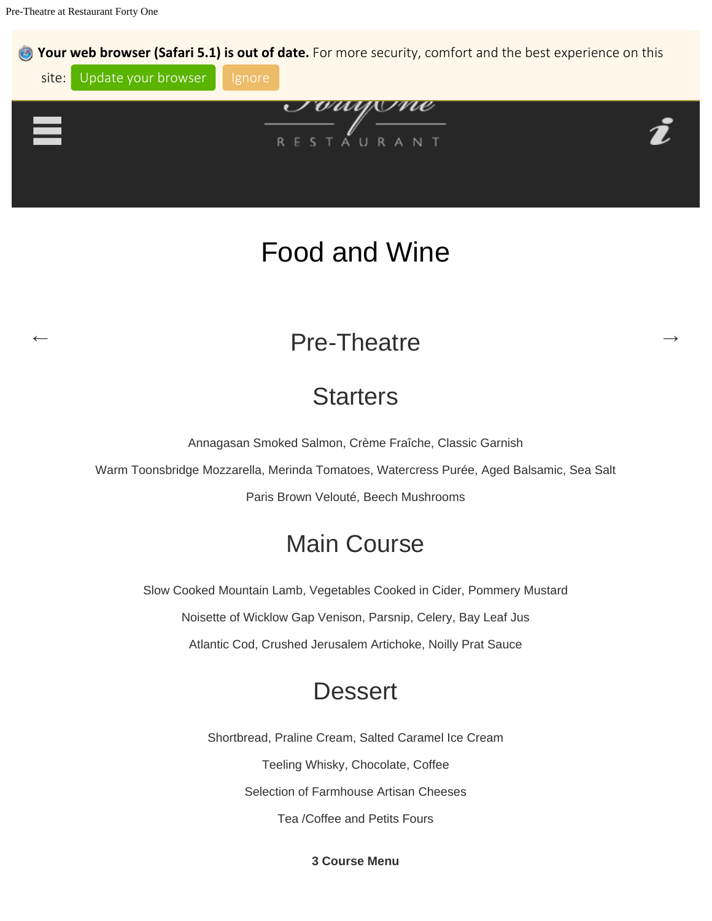Pre-Theatre at Restaurant Forty One



# Food and Wine

## Pre-Theatre

## **Starters**

Annagasan Smoked Salmon, Crème Fraîche, Classic Garnish

Warm Toonsbridge Mozzarella, Merinda Tomatoes, Watercress Purée, Aged Balsamic, Sea Salt

Paris Brown Velouté, Beech Mushrooms

## Main Course

Slow Cooked Mountain Lamb, Vegetables Cooked in Cider, Pommery Mustard Noisette of Wicklow Gap Venison, Parsnip, Celery, Bay Leaf Jus Atlantic Cod, Crushed Jerusalem Artichoke, Noilly Prat Sauce

### **Dessert**

Shortbread, Praline Cream, Salted Caramel Ice Cream Teeling Whisky, Chocolate, Coffee Selection of Farmhouse Artisan Cheeses Tea /Coffee and Petits Fours

**3 Course Menu**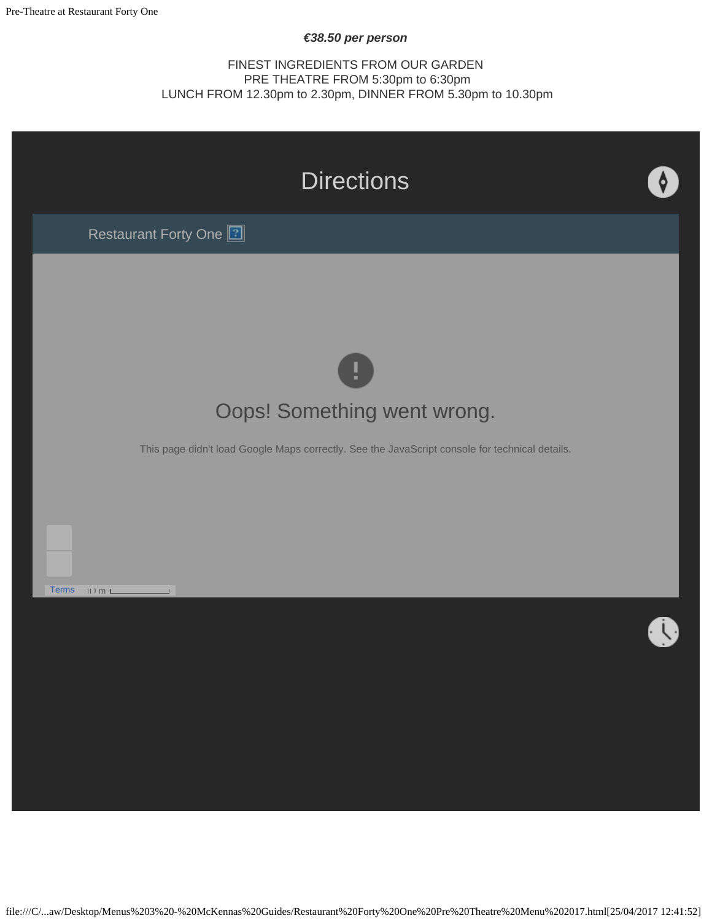#### *€38.50 per person*

FINEST INGREDIENTS FROM OUR GARDEN PRE THEATRE FROM 5:30pm to 6:30pm LUNCH FROM 12.30pm to 2.30pm, DINNER FROM 5.30pm to 10.30pm



file:///C/...aw/Desktop/Menus%203%20-%20McKennas%20Guides/Restaurant%20Forty%20One%20Pre%20Theatre%20Menu%202017.html[25/04/2017 12:41:52]